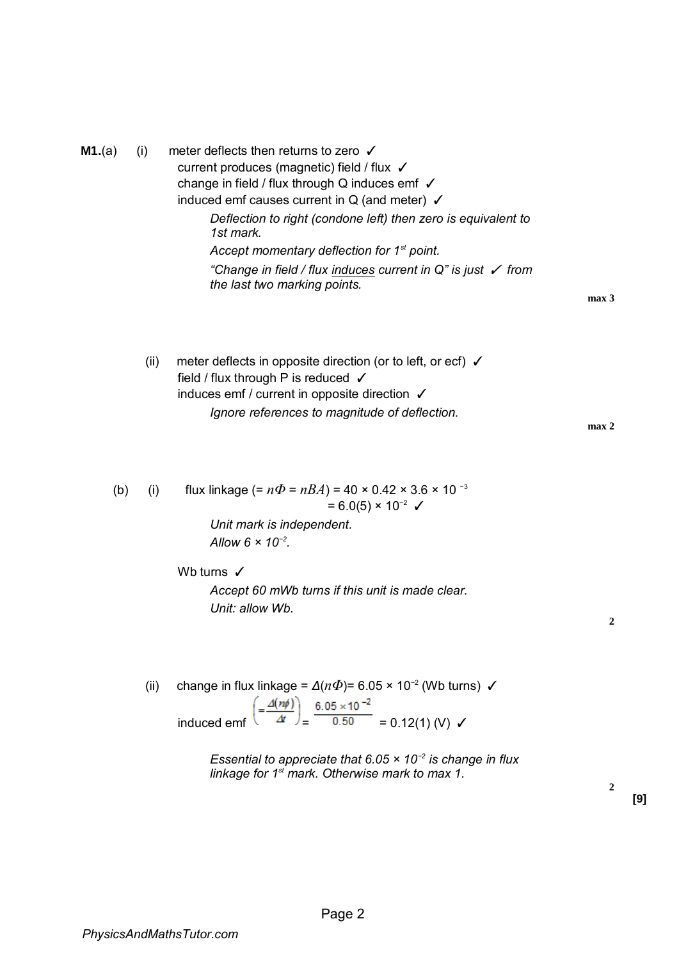| <b>M1.</b> (a) | (i) | meter deflects then returns to zero √<br>current produces (magnetic) field / flux √<br>change in field / flux through Q induces emf $\checkmark$<br>induced emf causes current in $Q$ (and meter) $\checkmark$ |
|----------------|-----|----------------------------------------------------------------------------------------------------------------------------------------------------------------------------------------------------------------|
|                |     | Deflection to right (condone left) then zero is equivalent to<br>1st mark.                                                                                                                                     |
|                |     | Accept momentary deflection for 1 <sup>st</sup> point.                                                                                                                                                         |
|                |     | "Change in field / flux induces current in $Q''$ is just $\checkmark$ from<br>the last two marking points.                                                                                                     |

**max 3** 

(ii) meter deflects in opposite direction (or to left, or ecf)  $\checkmark$ field / flux through P is reduced √ induces emf / current in opposite direction ✓ *Ignore references to magnitude of deflection.* 

**2**

(b) (i) flux linkage (= 
$$
n\Phi = nBA
$$
) = 40 × 0.42 × 3.6 × 10<sup>-3</sup>  
= 6.0(5) × 10<sup>-2</sup>  $\checkmark$ 

*Unit mark is independent. Allow 6 × 10−2 .* 

Wb turns √ *Accept 60 mWb turns if this unit is made clear. Unit: allow Wb.* 

(ii) change in flux linkage =  $\Delta(n\Phi)$ = 6.05 × 10<sup>-2</sup> (Wb turns)  $\checkmark$ induced emf  $\left( = \frac{\Delta(n\phi)}{\Delta t} \right) = \frac{6.05 \times 10^{-2}}{0.50} = 0.12(1)$  (V)  $\checkmark$ 

> *Essential to appreciate that 6.05 × 10−2 is change in flux linkage for 1st mark. Otherwise mark to max 1.*

> > **[9]**

**2**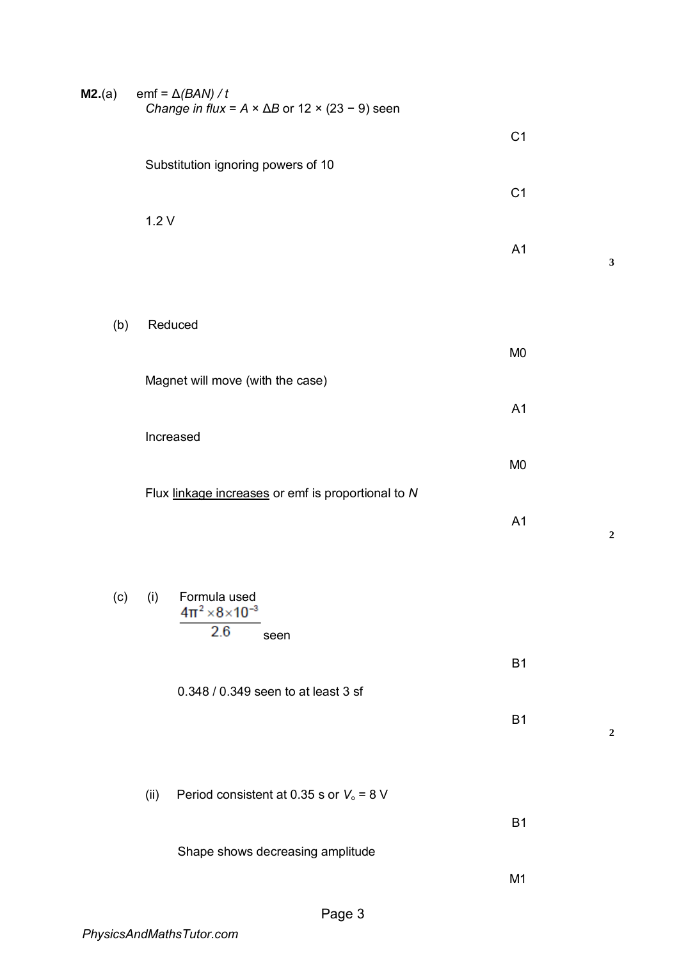| <b>M2.</b> (a) | emf = $\Delta$ (BAN) / t<br>Change in flux = $A \times \Delta B$ or 12 $\times$ (23 - 9) seen |                |  |
|----------------|-----------------------------------------------------------------------------------------------|----------------|--|
|                |                                                                                               | C <sub>1</sub> |  |
|                | Substitution ignoring powers of 10                                                            |                |  |
|                | 1.2V                                                                                          | C <sub>1</sub> |  |
|                |                                                                                               | A1             |  |
|                |                                                                                               |                |  |
| (b)            | Reduced                                                                                       |                |  |
|                |                                                                                               | M <sub>0</sub> |  |
|                | Magnet will move (with the case)                                                              |                |  |
|                |                                                                                               | A1             |  |
|                | Increased                                                                                     |                |  |
|                | Flux linkage increases or emf is proportional to N                                            | M <sub>0</sub> |  |
|                |                                                                                               | A1             |  |
|                |                                                                                               |                |  |
|                | (c) (i) Formula used<br>$4\pi^2 \times 8 \times 10^{-3}$                                      |                |  |
|                | 2.6<br>seen                                                                                   |                |  |
|                |                                                                                               | <b>B1</b>      |  |
|                | 0.348 / 0.349 seen to at least 3 sf                                                           |                |  |
|                |                                                                                               | <b>B1</b>      |  |
|                |                                                                                               |                |  |
|                | Period consistent at 0.35 s or $V_0$ = 8 V<br>(ii)                                            |                |  |
|                |                                                                                               | <b>B1</b>      |  |
|                | Shape shows decreasing amplitude                                                              | M <sub>1</sub> |  |
|                |                                                                                               |                |  |

**3**

**2**

**2**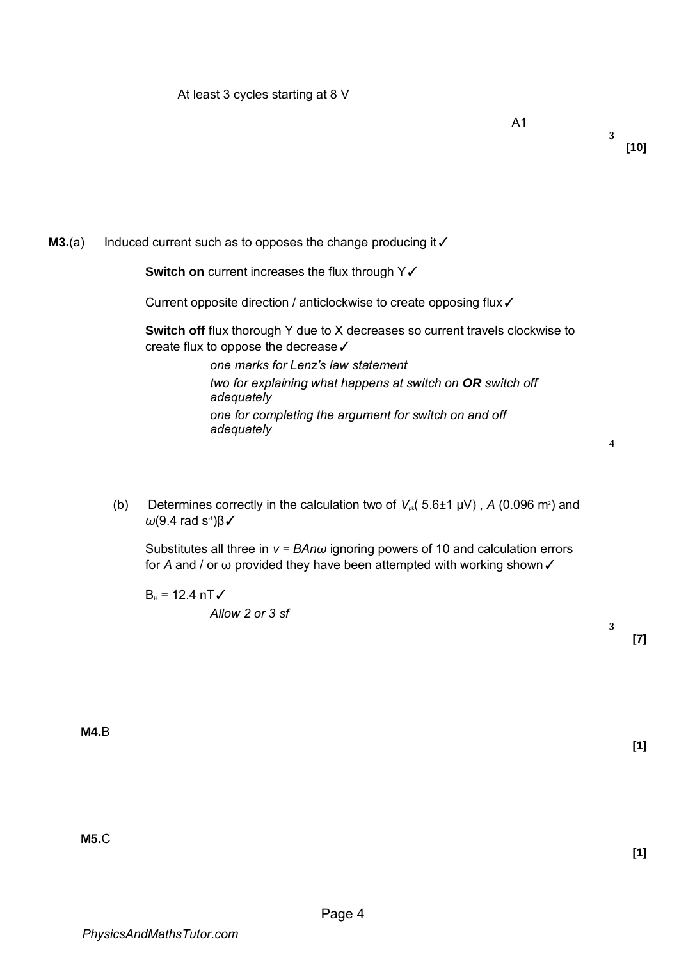**3**

**4**

**3**

**[7]** 

## **M3.**(a) Induced current such as to opposes the change producing it √

**Switch on** current increases the flux through Y√

Current opposite direction / anticlockwise to create opposing flux✓

**Switch off** flux thorough Y due to X decreases so current travels clockwise to create flux to oppose the decrease✓

> *one marks for Lenz's law statement two for explaining what happens at switch on OR switch off adequately one for completing the argument for switch on and off adequately*

(b) Determines correctly in the calculation two of  $V_{\text{\tiny pk}}(5.6\pm1~\mu\text{V})$  , A (0.096 m<sup>2</sup>) and *ω*(9.4 rad s<sup>-1</sup>)β√

Substitutes all three in *v = BAnω* ignoring powers of 10 and calculation errors for *A* and / or ω provided they have been attempted with working shown √

 $B_{H} = 12.4 \text{ nT}$ *Allow 2 or 3 sf* 

**M4.**B

**M5.**C

**[1]** 

**[1]**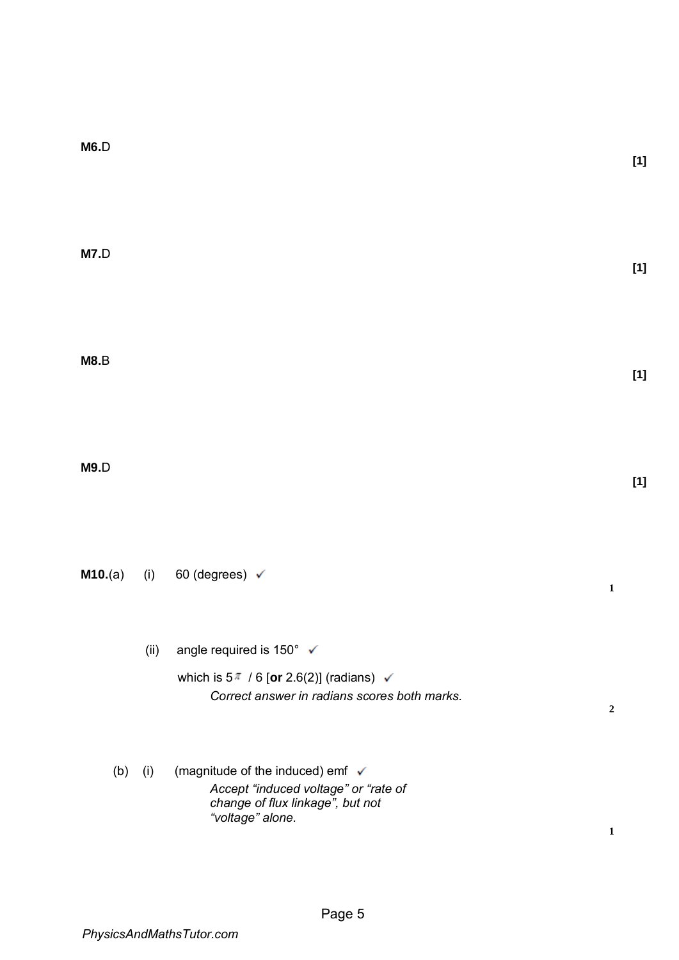| M7.D    |            |                                                                                                                                                           | $[1]$ |
|---------|------------|-----------------------------------------------------------------------------------------------------------------------------------------------------------|-------|
| M8.B    |            |                                                                                                                                                           | $[1]$ |
| M9.D    |            |                                                                                                                                                           | $[1]$ |
| M10.(a) |            | (i) 60 (degrees) $\checkmark$<br>$\mathbf 1$                                                                                                              |       |
|         | (ii)       | angle required is 150° √<br>which is $5^{\pi}$ / 6 [or 2.6(2)] (radians) $\checkmark$<br>Correct answer in radians scores both marks.<br>$\boldsymbol{2}$ |       |
|         | (b)<br>(i) | (magnitude of the induced) emf ✔<br>Accept "induced voltage" or "rate of<br>change of flux linkage", but not<br>"voltage" alone.<br>$\mathbf{1}$          |       |

**[1]** 

**M6.**D